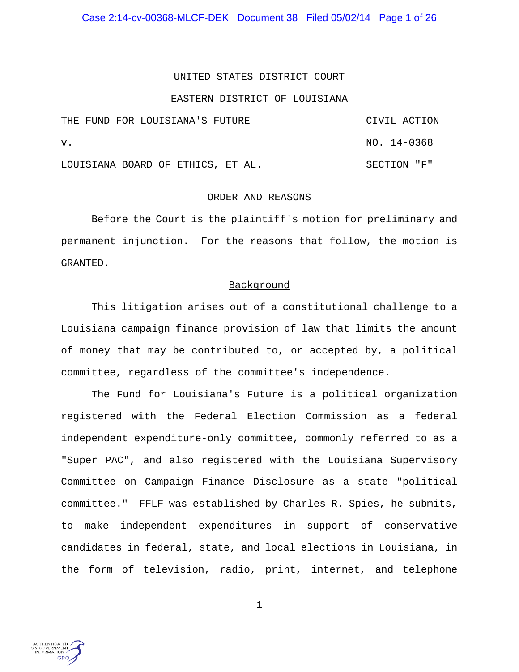Case 2:14-cv-00368-MLCF-DEK Document 38 Filed 05/02/14 Page 1 of 26

### UNITED STATES DISTRICT COURT

### EASTERN DISTRICT OF LOUISIANA

|    |  |  | THE FUND FOR LOUISIANA'S FUTURE   |  |  |  |  | CIVIL ACTION |  |  |
|----|--|--|-----------------------------------|--|--|--|--|--------------|--|--|
| v. |  |  |                                   |  |  |  |  | NO. 14-0368  |  |  |
|    |  |  | LOUISIANA BOARD OF ETHICS, ET AL. |  |  |  |  | SECTION "F"  |  |  |

#### ORDER AND REASONS

Before the Court is the plaintiff's motion for preliminary and permanent injunction. For the reasons that follow, the motion is GRANTED.

### Background

This litigation arises out of a constitutional challenge to a Louisiana campaign finance provision of law that limits the amount of money that may be contributed to, or accepted by, a political committee, regardless of the committee's independence.

The Fund for Louisiana's Future is a political organization registered with the Federal Election Commission as a federal independent expenditure-only committee, commonly referred to as a "Super PAC", and also registered with the Louisiana Supervisory Committee on Campaign Finance Disclosure as a state "political committee." FFLF was established by Charles R. Spies, he submits, to make independent expenditures in support of conservative candidates in federal, state, and local elections in Louisiana, in the form of television, radio, print, internet, and telephone

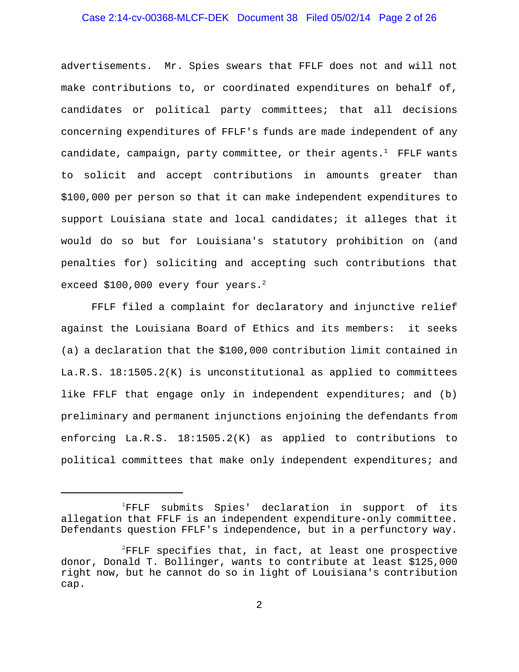# Case 2:14-cv-00368-MLCF-DEK Document 38 Filed 05/02/14 Page 2 of 26

advertisements. Mr. Spies swears that FFLF does not and will not make contributions to, or coordinated expenditures on behalf of, candidates or political party committees; that all decisions concerning expenditures of FFLF's funds are made independent of any candidate, campaign, party committee, or their agents.<sup>1</sup> FFLF wants to solicit and accept contributions in amounts greater than \$100,000 per person so that it can make independent expenditures to support Louisiana state and local candidates; it alleges that it would do so but for Louisiana's statutory prohibition on (and penalties for) soliciting and accepting such contributions that exceed \$100,000 every four years. $^2$ 

FFLF filed a complaint for declaratory and injunctive relief against the Louisiana Board of Ethics and its members: it seeks (a) a declaration that the \$100,000 contribution limit contained in La.R.S. 18:1505.2(K) is unconstitutional as applied to committees like FFLF that engage only in independent expenditures; and (b) preliminary and permanent injunctions enjoining the defendants from enforcing La.R.S. 18:1505.2(K) as applied to contributions to political committees that make only independent expenditures; and

<sup>&</sup>lt;sup>1</sup>FFLF submits Spies' declaration in support of its allegation that FFLF is an independent expenditure-only committee. Defendants question FFLF's independence, but in a perfunctory way.

 $^{2}$ FFLF specifies that, in fact, at least one prospective donor, Donald T. Bollinger, wants to contribute at least \$125,000 right now, but he cannot do so in light of Louisiana's contribution cap.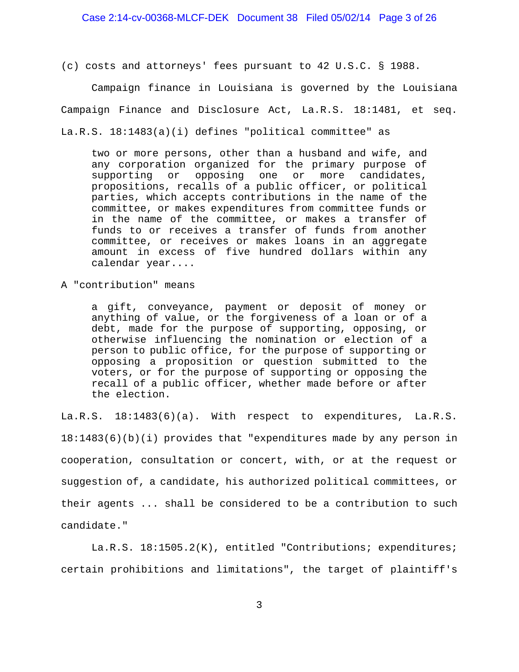(c) costs and attorneys' fees pursuant to 42 U.S.C. § 1988.

Campaign finance in Louisiana is governed by the Louisiana Campaign Finance and Disclosure Act, La.R.S. 18:1481, et seq. La.R.S. 18:1483(a)(i) defines "political committee" as

two or more persons, other than a husband and wife, and any corporation organized for the primary purpose of supporting or opposing one or more candidates, propositions, recalls of a public officer, or political parties, which accepts contributions in the name of the committee, or makes expenditures from committee funds or in the name of the committee, or makes a transfer of funds to or receives a transfer of funds from another committee, or receives or makes loans in an aggregate amount in excess of five hundred dollars within any calendar year....

A "contribution" means

a gift, conveyance, payment or deposit of money or anything of value, or the forgiveness of a loan or of a debt, made for the purpose of supporting, opposing, or otherwise influencing the nomination or election of a person to public office, for the purpose of supporting or opposing a proposition or question submitted to the voters, or for the purpose of supporting or opposing the recall of a public officer, whether made before or after the election.

La.R.S. 18:1483(6)(a). With respect to expenditures, La.R.S. 18:1483(6)(b)(i) provides that "expenditures made by any person in cooperation, consultation or concert, with, or at the request or suggestion of, a candidate, his authorized political committees, or their agents ... shall be considered to be a contribution to such candidate."

La.R.S. 18:1505.2(K), entitled "Contributions; expenditures; certain prohibitions and limitations", the target of plaintiff's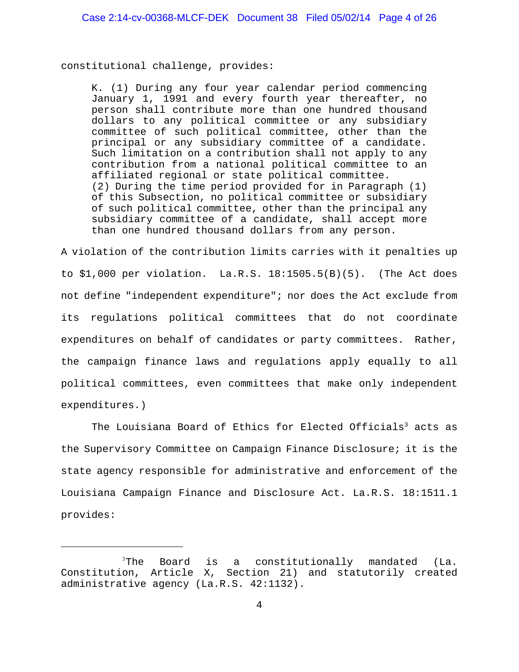constitutional challenge, provides:

K. (1) During any four year calendar period commencing January 1, 1991 and every fourth year thereafter, no person shall contribute more than one hundred thousand dollars to any political committee or any subsidiary committee of such political committee, other than the principal or any subsidiary committee of a candidate. Such limitation on a contribution shall not apply to any contribution from a national political committee to an affiliated regional or state political committee. (2) During the time period provided for in Paragraph (1) of this Subsection, no political committee or subsidiary of such political committee, other than the principal any subsidiary committee of a candidate, shall accept more than one hundred thousand dollars from any person.

A violation of the contribution limits carries with it penalties up to \$1,000 per violation. La.R.S. 18:1505.5(B)(5). (The Act does not define "independent expenditure"; nor does the Act exclude from its regulations political committees that do not coordinate expenditures on behalf of candidates or party committees. Rather, the campaign finance laws and regulations apply equally to all political committees, even committees that make only independent expenditures.)

The Louisiana Board of Ethics for Elected Officials<sup>3</sup> acts as the Supervisory Committee on Campaign Finance Disclosure; it is the state agency responsible for administrative and enforcement of the Louisiana Campaign Finance and Disclosure Act. La.R.S. 18:1511.1 provides:

 $3$ The Board is a constitutionally mandated (La. Constitution, Article X, Section 21) and statutorily created administrative agency (La.R.S. 42:1132).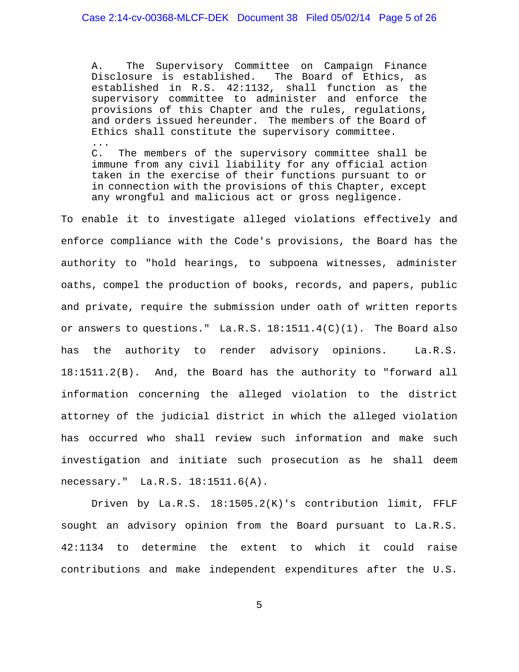A. The Supervisory Committee on Campaign Finance Disclosure is established. The Board of Ethics, as established in R.S. 42:1132, shall function as the supervisory committee to administer and enforce the provisions of this Chapter and the rules, regulations, and orders issued hereunder. The members of the Board of Ethics shall constitute the supervisory committee. ... C. The members of the supervisory committee shall be

immune from any civil liability for any official action taken in the exercise of their functions pursuant to or in connection with the provisions of this Chapter, except any wrongful and malicious act or gross negligence.

To enable it to investigate alleged violations effectively and enforce compliance with the Code's provisions, the Board has the authority to "hold hearings, to subpoena witnesses, administer oaths, compel the production of books, records, and papers, public and private, require the submission under oath of written reports or answers to questions."  $La.R.S. 18:1511.4(C)(1)$ . The Board also has the authority to render advisory opinions. La.R.S. 18:1511.2(B). And, the Board has the authority to "forward all information concerning the alleged violation to the district attorney of the judicial district in which the alleged violation has occurred who shall review such information and make such investigation and initiate such prosecution as he shall deem necessary." La.R.S. 18:1511.6(A).

Driven by La.R.S. 18:1505.2(K)'s contribution limit, FFLF sought an advisory opinion from the Board pursuant to La.R.S. 42:1134 to determine the extent to which it could raise contributions and make independent expenditures after the U.S.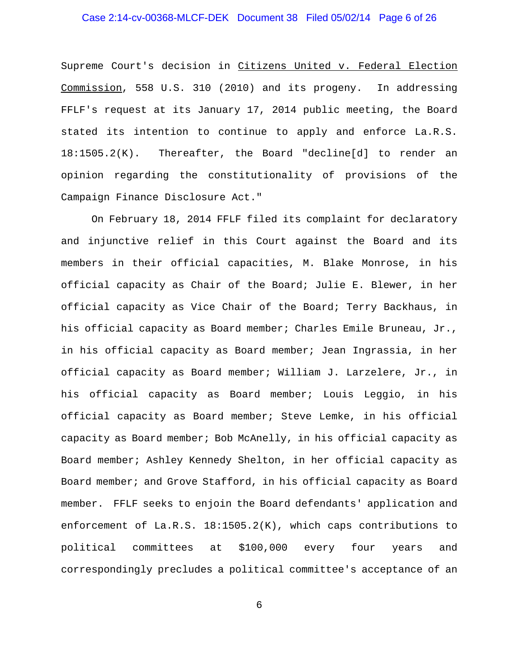# Case 2:14-cv-00368-MLCF-DEK Document 38 Filed 05/02/14 Page 6 of 26

Supreme Court's decision in Citizens United v. Federal Election Commission, 558 U.S. 310 (2010) and its progeny. In addressing FFLF's request at its January 17, 2014 public meeting, the Board stated its intention to continue to apply and enforce La.R.S. 18:1505.2(K). Thereafter, the Board "decline[d] to render an opinion regarding the constitutionality of provisions of the Campaign Finance Disclosure Act."

On February 18, 2014 FFLF filed its complaint for declaratory and injunctive relief in this Court against the Board and its members in their official capacities, M. Blake Monrose, in his official capacity as Chair of the Board; Julie E. Blewer, in her official capacity as Vice Chair of the Board; Terry Backhaus, in his official capacity as Board member; Charles Emile Bruneau, Jr., in his official capacity as Board member; Jean Ingrassia, in her official capacity as Board member; William J. Larzelere, Jr., in his official capacity as Board member; Louis Leggio, in his official capacity as Board member; Steve Lemke, in his official capacity as Board member; Bob McAnelly, in his official capacity as Board member; Ashley Kennedy Shelton, in her official capacity as Board member; and Grove Stafford, in his official capacity as Board member. FFLF seeks to enjoin the Board defendants' application and enforcement of La.R.S. 18:1505.2(K), which caps contributions to political committees at \$100,000 every four years and correspondingly precludes a political committee's acceptance of an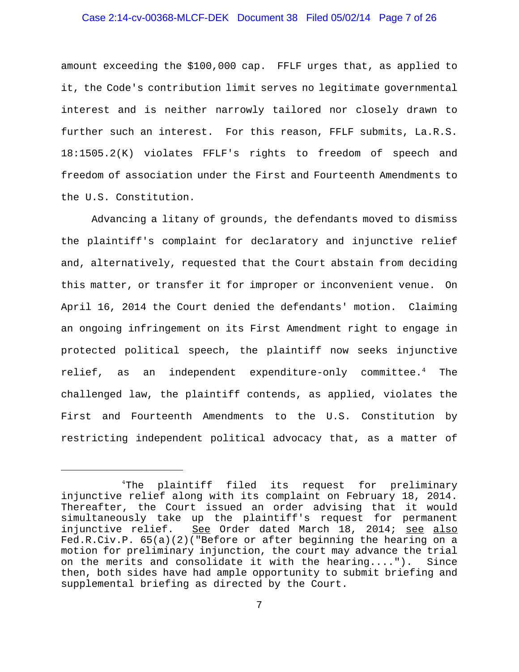### Case 2:14-cv-00368-MLCF-DEK Document 38 Filed 05/02/14 Page 7 of 26

amount exceeding the \$100,000 cap. FFLF urges that, as applied to it, the Code's contribution limit serves no legitimate governmental interest and is neither narrowly tailored nor closely drawn to further such an interest. For this reason, FFLF submits, La.R.S. 18:1505.2(K) violates FFLF's rights to freedom of speech and freedom of association under the First and Fourteenth Amendments to the U.S. Constitution.

Advancing a litany of grounds, the defendants moved to dismiss the plaintiff's complaint for declaratory and injunctive relief and, alternatively, requested that the Court abstain from deciding this matter, or transfer it for improper or inconvenient venue. On April 16, 2014 the Court denied the defendants' motion. Claiming an ongoing infringement on its First Amendment right to engage in protected political speech, the plaintiff now seeks injunctive relief, as an independent expenditure-only committee.<sup>4</sup> The challenged law, the plaintiff contends, as applied, violates the First and Fourteenth Amendments to the U.S. Constitution by restricting independent political advocacy that, as a matter of

<sup>&</sup>lt;sup>4</sup>The plaintiff filed its request for preliminary injunctive relief along with its complaint on February 18, 2014. Thereafter, the Court issued an order advising that it would simultaneously take up the plaintiff's request for permanent injunctive relief. See Order dated March 18, 2014; see also Fed.R.Civ.P. 65(a)(2)("Before or after beginning the hearing on a motion for preliminary injunction, the court may advance the trial on the merits and consolidate it with the hearing...."). Since then, both sides have had ample opportunity to submit briefing and supplemental briefing as directed by the Court.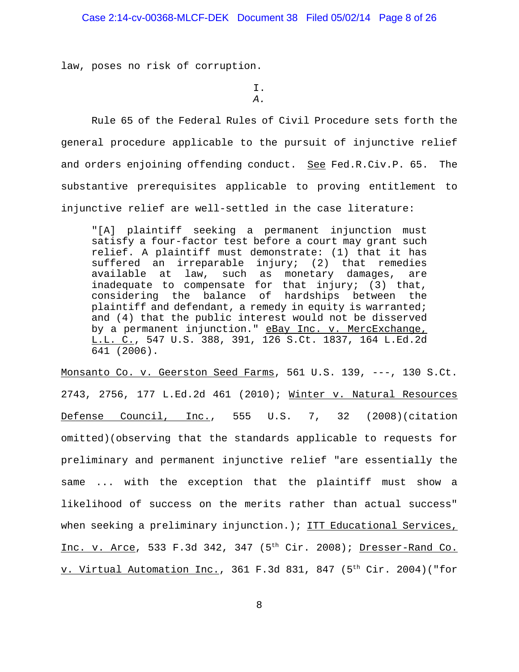law, poses no risk of corruption.

I. *A.*

Rule 65 of the Federal Rules of Civil Procedure sets forth the general procedure applicable to the pursuit of injunctive relief and orders enjoining offending conduct. See Fed.R.Civ.P. 65. The substantive prerequisites applicable to proving entitlement to injunctive relief are well-settled in the case literature:

"[A] plaintiff seeking a permanent injunction must satisfy a four-factor test before a court may grant such relief. A plaintiff must demonstrate: (1) that it has suffered an irreparable injury; (2) that remedies available at law, such as monetary damages, are inadequate to compensate for that injury; (3) that, considering the balance of hardships between the plaintiff and defendant, a remedy in equity is warranted; and (4) that the public interest would not be disserved by a permanent injunction." eBay Inc. v. MercExchange, L.L. C., 547 U.S. 388, 391, 126 S.Ct. 1837, 164 L.Ed.2d 641 (2006).

Monsanto Co. v. Geerston Seed Farms, 561 U.S. 139, ---, 130 S.Ct. 2743, 2756, 177 L.Ed.2d 461 (2010); Winter v. Natural Resources Defense Council, Inc., 555 U.S. 7, 32 (2008)(citation omitted)(observing that the standards applicable to requests for preliminary and permanent injunctive relief "are essentially the same ... with the exception that the plaintiff must show a likelihood of success on the merits rather than actual success" when seeking a preliminary injunction.); ITT Educational Services, Inc. v. Arce, 533 F.3d 342, 347  $(5<sup>th</sup> Cir. 2008)$ ; Dresser-Rand Co. v. Virtual Automation Inc., 361 F.3d 831, 847 (5<sup>th</sup> Cir. 2004)("for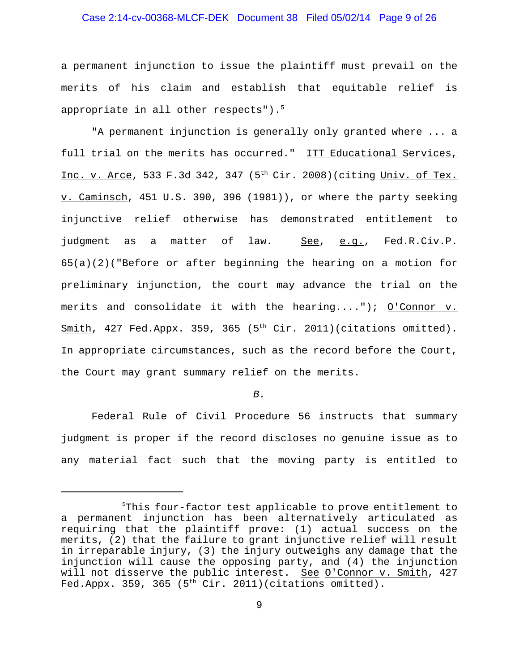# Case 2:14-cv-00368-MLCF-DEK Document 38 Filed 05/02/14 Page 9 of 26

a permanent injunction to issue the plaintiff must prevail on the merits of his claim and establish that equitable relief is appropriate in all other respects"). $5$ 

"A permanent injunction is generally only granted where ... a full trial on the merits has occurred." ITT Educational Services, Inc. v. Arce, 533 F.3d 342, 347 (5<sup>th</sup> Cir. 2008)(citing Univ. of Tex. v. Caminsch, 451 U.S. 390, 396 (1981)), or where the party seeking injunctive relief otherwise has demonstrated entitlement to judgment as a matter of law. See, e.g., Fed.R.Civ.P. 65(a)(2)("Before or after beginning the hearing on a motion for preliminary injunction, the court may advance the trial on the merits and consolidate it with the hearing...."); O'Connor v.  $Smith, 427$  Fed.Appx. 359, 365 ( $5<sup>th</sup>$  Cir. 2011)(citations omitted). In appropriate circumstances, such as the record before the Court, the Court may grant summary relief on the merits.

### *B.*

Federal Rule of Civil Procedure 56 instructs that summary judgment is proper if the record discloses no genuine issue as to any material fact such that the moving party is entitled to

<sup>5</sup> This four-factor test applicable to prove entitlement to a permanent injunction has been alternatively articulated as requiring that the plaintiff prove: (1) actual success on the merits, (2) that the failure to grant injunctive relief will result in irreparable injury, (3) the injury outweighs any damage that the injunction will cause the opposing party, and (4) the injunction will not disserve the public interest. See O'Connor v. Smith, 427 Fed.Appx. 359, 365 ( $5<sup>th</sup>$  Cir. 2011)(citations omitted).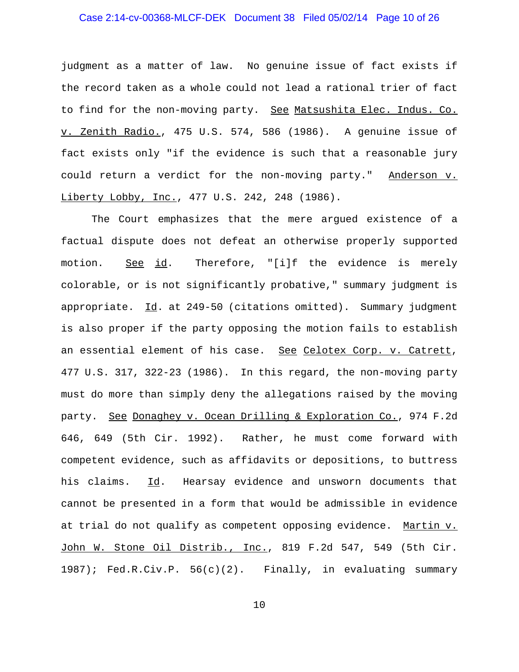# Case 2:14-cv-00368-MLCF-DEK Document 38 Filed 05/02/14 Page 10 of 26

judgment as a matter of law. No genuine issue of fact exists if the record taken as a whole could not lead a rational trier of fact to find for the non-moving party. <u>See Matsushita Elec. Indus. Co.</u> v. Zenith Radio., 475 U.S. 574, 586 (1986). A genuine issue of fact exists only "if the evidence is such that a reasonable jury could return a verdict for the non-moving party." Anderson v. Liberty Lobby, Inc., 477 U.S. 242, 248 (1986).

The Court emphasizes that the mere argued existence of a factual dispute does not defeat an otherwise properly supported motion. See id. Therefore, "[i]f the evidence is merely colorable, or is not significantly probative," summary judgment is appropriate. Id. at 249-50 (citations omitted). Summary judgment is also proper if the party opposing the motion fails to establish an essential element of his case. See Celotex Corp. v. Catrett, 477 U.S. 317, 322-23 (1986). In this regard, the non-moving party must do more than simply deny the allegations raised by the moving party. See Donaghey v. Ocean Drilling & Exploration Co., 974 F.2d 646, 649 (5th Cir. 1992). Rather, he must come forward with competent evidence, such as affidavits or depositions, to buttress his claims. Id. Hearsay evidence and unsworn documents that cannot be presented in a form that would be admissible in evidence at trial do not qualify as competent opposing evidence. Martin v. John W. Stone Oil Distrib., Inc., 819 F.2d 547, 549 (5th Cir. 1987); Fed.R.Civ.P. 56(c)(2). Finally, in evaluating summary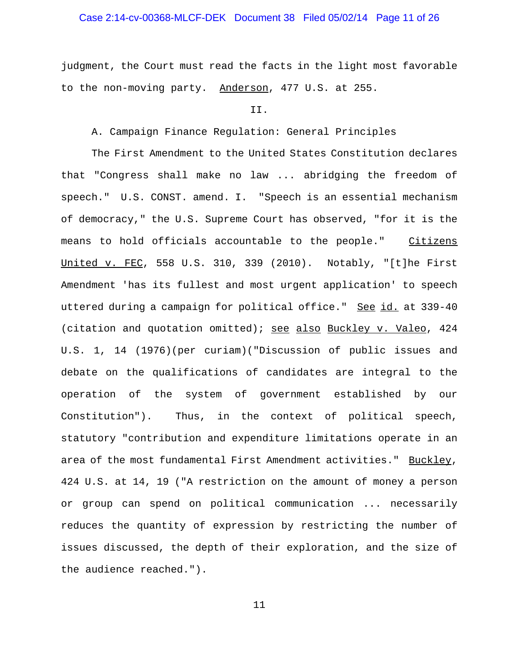# Case 2:14-cv-00368-MLCF-DEK Document 38 Filed 05/02/14 Page 11 of 26

judgment, the Court must read the facts in the light most favorable to the non-moving party. Anderson, 477 U.S. at 255.

#### II.

# A. Campaign Finance Regulation: General Principles

The First Amendment to the United States Constitution declares that "Congress shall make no law ... abridging the freedom of speech." U.S. CONST. amend. I. "Speech is an essential mechanism of democracy," the U.S. Supreme Court has observed, "for it is the means to hold officials accountable to the people." Citizens United v. FEC, 558 U.S. 310, 339 (2010). Notably, "[t]he First Amendment 'has its fullest and most urgent application' to speech uttered during a campaign for political office." See id. at 339-40 (citation and quotation omitted); see also Buckley v. Valeo, 424 U.S. 1, 14 (1976)(per curiam)("Discussion of public issues and debate on the qualifications of candidates are integral to the operation of the system of government established by our Constitution"). Thus, in the context of political speech, statutory "contribution and expenditure limitations operate in an area of the most fundamental First Amendment activities." Buckley, 424 U.S. at 14, 19 ("A restriction on the amount of money a person or group can spend on political communication ... necessarily reduces the quantity of expression by restricting the number of issues discussed, the depth of their exploration, and the size of the audience reached.").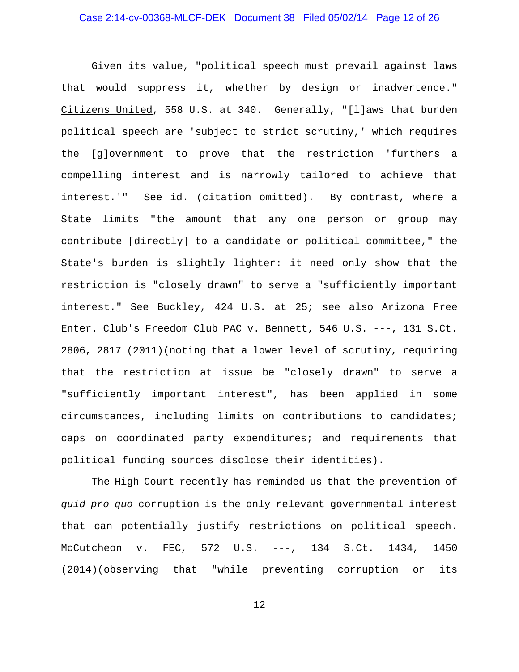Given its value, "political speech must prevail against laws that would suppress it, whether by design or inadvertence." Citizens United, 558 U.S. at 340. Generally, "[l]aws that burden political speech are 'subject to strict scrutiny,' which requires the [g]overnment to prove that the restriction 'furthers a compelling interest and is narrowly tailored to achieve that interest.'" See id. (citation omitted). By contrast, where a State limits "the amount that any one person or group may contribute [directly] to a candidate or political committee," the State's burden is slightly lighter: it need only show that the restriction is "closely drawn" to serve a "sufficiently important interest." See Buckley, 424 U.S. at 25; see also Arizona Free Enter. Club's Freedom Club PAC v. Bennett, 546 U.S. ---, 131 S.Ct. 2806, 2817 (2011)(noting that a lower level of scrutiny, requiring that the restriction at issue be "closely drawn" to serve a "sufficiently important interest", has been applied in some circumstances, including limits on contributions to candidates; caps on coordinated party expenditures; and requirements that political funding sources disclose their identities).

The High Court recently has reminded us that the prevention of *quid pro quo* corruption is the only relevant governmental interest that can potentially justify restrictions on political speech. McCutcheon v. FEC, 572 U.S. ---, 134 S.Ct. 1434, 1450 (2014)(observing that "while preventing corruption or its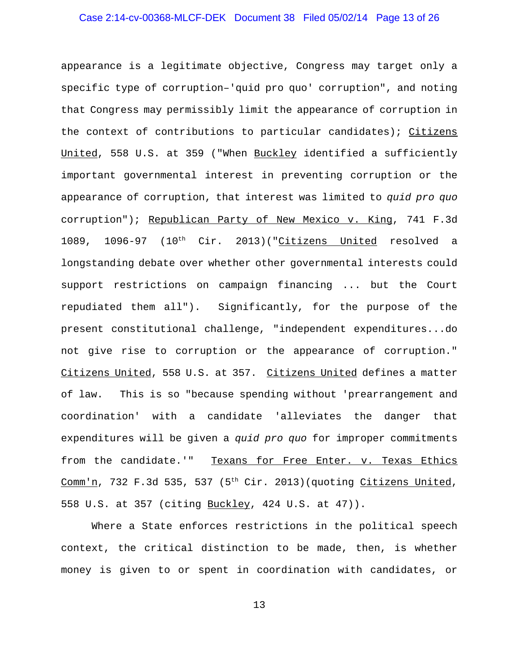# Case 2:14-cv-00368-MLCF-DEK Document 38 Filed 05/02/14 Page 13 of 26

appearance is a legitimate objective, Congress may target only a specific type of corruption–'quid pro quo' corruption", and noting that Congress may permissibly limit the appearance of corruption in the context of contributions to particular candidates); Citizens United, 558 U.S. at 359 ("When Buckley identified a sufficiently important governmental interest in preventing corruption or the appearance of corruption, that interest was limited to *quid pro quo* corruption"); Republican Party of New Mexico v. King, 741 F.3d 1089, 1096-97  $(10^{th}$  Cir. 2013)("Citizens United resolved a longstanding debate over whether other governmental interests could support restrictions on campaign financing ... but the Court repudiated them all"). Significantly, for the purpose of the present constitutional challenge, "independent expenditures...do not give rise to corruption or the appearance of corruption." Citizens United, 558 U.S. at 357. Citizens United defines a matter of law. This is so "because spending without 'prearrangement and coordination' with a candidate 'alleviates the danger that expenditures will be given a *quid pro quo* for improper commitments from the candidate.'" Texans for Free Enter. v. Texas Ethics Comm'n, 732 F.3d 535, 537 (5<sup>th</sup> Cir. 2013)(quoting Citizens United, 558 U.S. at 357 (citing Buckley, 424 U.S. at 47)).

Where a State enforces restrictions in the political speech context, the critical distinction to be made, then, is whether money is given to or spent in coordination with candidates, or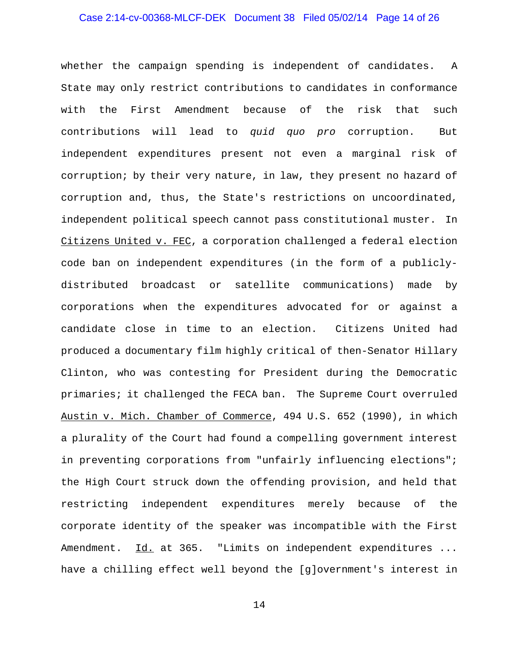# Case 2:14-cv-00368-MLCF-DEK Document 38 Filed 05/02/14 Page 14 of 26

whether the campaign spending is independent of candidates. A State may only restrict contributions to candidates in conformance with the First Amendment because of the risk that such contributions will lead to *quid quo pro* corruption. But independent expenditures present not even a marginal risk of corruption; by their very nature, in law, they present no hazard of corruption and, thus, the State's restrictions on uncoordinated, independent political speech cannot pass constitutional muster. In Citizens United v. FEC, a corporation challenged a federal election code ban on independent expenditures (in the form of a publiclydistributed broadcast or satellite communications) made by corporations when the expenditures advocated for or against a candidate close in time to an election. Citizens United had produced a documentary film highly critical of then-Senator Hillary Clinton, who was contesting for President during the Democratic primaries; it challenged the FECA ban. The Supreme Court overruled Austin v. Mich. Chamber of Commerce, 494 U.S. 652 (1990), in which a plurality of the Court had found a compelling government interest in preventing corporations from "unfairly influencing elections"; the High Court struck down the offending provision, and held that restricting independent expenditures merely because of the corporate identity of the speaker was incompatible with the First Amendment. Id. at 365. "Limits on independent expenditures ... have a chilling effect well beyond the [g]overnment's interest in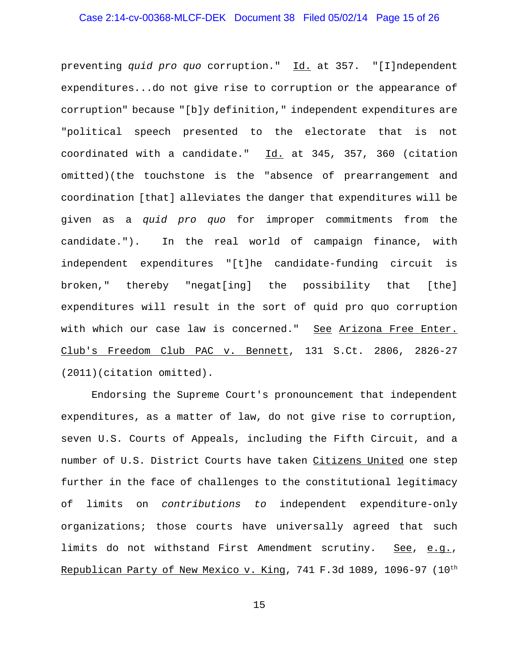# Case 2:14-cv-00368-MLCF-DEK Document 38 Filed 05/02/14 Page 15 of 26

preventing *quid pro quo* corruption." Id. at 357. "[I]ndependent expenditures...do not give rise to corruption or the appearance of corruption" because "[b]y definition," independent expenditures are "political speech presented to the electorate that is not coordinated with a candidate." Id. at 345, 357, 360 (citation omitted)(the touchstone is the "absence of prearrangement and coordination [that] alleviates the danger that expenditures will be given as a *quid pro quo* for improper commitments from the candidate."). In the real world of campaign finance, with independent expenditures "[t]he candidate-funding circuit is broken," thereby "negat[ing] the possibility that [the] expenditures will result in the sort of quid pro quo corruption with which our case law is concerned." See Arizona Free Enter. Club's Freedom Club PAC v. Bennett, 131 S.Ct. 2806, 2826-27 (2011)(citation omitted).

Endorsing the Supreme Court's pronouncement that independent expenditures, as a matter of law, do not give rise to corruption, seven U.S. Courts of Appeals, including the Fifth Circuit, and a number of U.S. District Courts have taken Citizens United one step further in the face of challenges to the constitutional legitimacy of limits on *contributions to* independent expenditure-only organizations; those courts have universally agreed that such limits do not withstand First Amendment scrutiny. See, e.g., Republican Party of New Mexico v. King, 741 F.3d 1089, 1096-97  $(10^{th}$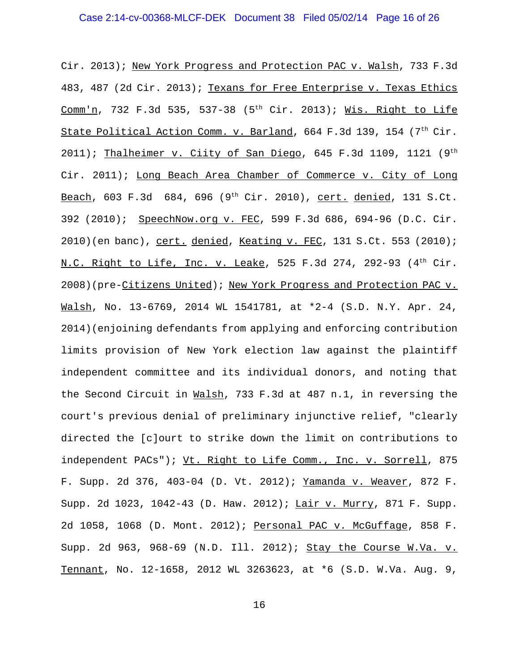Cir. 2013); New York Progress and Protection PAC v. Walsh, 733 F.3d 483, 487 (2d Cir. 2013); Texans for Free Enterprise v. Texas Ethics Comm'n, 732 F.3d 535, 537-38 (5<sup>th</sup> Cir. 2013); Wis. Right to Life State Political Action Comm. v. Barland, 664 F.3d 139, 154 (7<sup>th</sup> Cir.  $2011$ ); Thalheimer v. Ciity of San Diego, 645 F.3d 1109, 1121 (9<sup>th</sup> Cir. 2011); Long Beach Area Chamber of Commerce v. City of Long Beach, 603 F.3d 684, 696 (9<sup>th</sup> Cir. 2010), cert. denied, 131 S.Ct. 392 (2010); SpeechNow.org v. FEC, 599 F.3d 686, 694-96 (D.C. Cir. 2010)(en banc), cert. denied, Keating v. FEC, 131 S.Ct. 553 (2010); N.C. Right to Life, Inc. v. Leake, 525 F.3d 274, 292-93  $(4<sup>th</sup> Cir.$ 2008)(pre-Citizens United); New York Progress and Protection PAC v. Walsh, No. 13-6769, 2014 WL 1541781, at \*2-4 (S.D. N.Y. Apr. 24, 2014)(enjoining defendants from applying and enforcing contribution limits provision of New York election law against the plaintiff independent committee and its individual donors, and noting that the Second Circuit in Walsh, 733 F.3d at 487 n.1, in reversing the court's previous denial of preliminary injunctive relief, "clearly directed the [c]ourt to strike down the limit on contributions to independent PACs"); Vt. Right to Life Comm., Inc. v. Sorrell, 875 F. Supp. 2d 376, 403-04 (D. Vt. 2012); Yamanda v. Weaver, 872 F. Supp. 2d 1023, 1042-43 (D. Haw. 2012); Lair v. Murry, 871 F. Supp. 2d 1058, 1068 (D. Mont. 2012); Personal PAC v. McGuffage, 858 F. Supp. 2d 963, 968-69 (N.D. Ill. 2012); Stay the Course W.Va. v. Tennant, No. 12-1658, 2012 WL 3263623, at \*6 (S.D. W.Va. Aug. 9,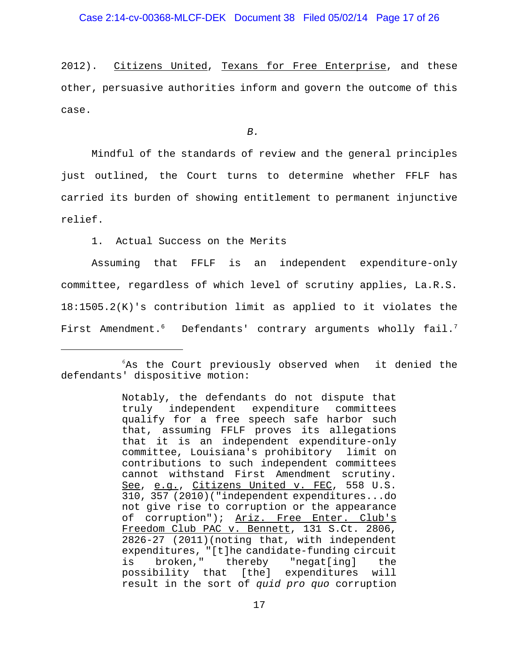2012). Citizens United, Texans for Free Enterprise, and these other, persuasive authorities inform and govern the outcome of this case.

*B.*

Mindful of the standards of review and the general principles just outlined, the Court turns to determine whether FFLF has carried its burden of showing entitlement to permanent injunctive relief.

1. Actual Success on the Merits

Assuming that FFLF is an independent expenditure-only committee, regardless of which level of scrutiny applies, La.R.S. 18:1505.2(K)'s contribution limit as applied to it violates the First Amendment.<sup>6</sup> Defendants' contrary arguments wholly fail.<sup>7</sup>

<sup>6</sup> As the Court previously observed when it denied the defendants' dispositive motion:

Notably, the defendants do not dispute that truly independent expenditure committees qualify for a free speech safe harbor such that, assuming FFLF proves its allegations that it is an independent expenditure-only committee, Louisiana's prohibitory limit on contributions to such independent committees cannot withstand First Amendment scrutiny. See, e.g., Citizens United v. FEC, 558 U.S. 310, 357 (2010)("independent expenditures...do not give rise to corruption or the appearance of corruption"); Ariz. Free Enter. Club's Freedom Club PAC v. Bennett, 131 S.Ct. 2806, 2826-27 (2011)(noting that, with independent expenditures, "[t]he candidate-funding circuit is broken," thereby "negat[ing] the possibility that [the] expenditures will result in the sort of *quid pro quo* corruption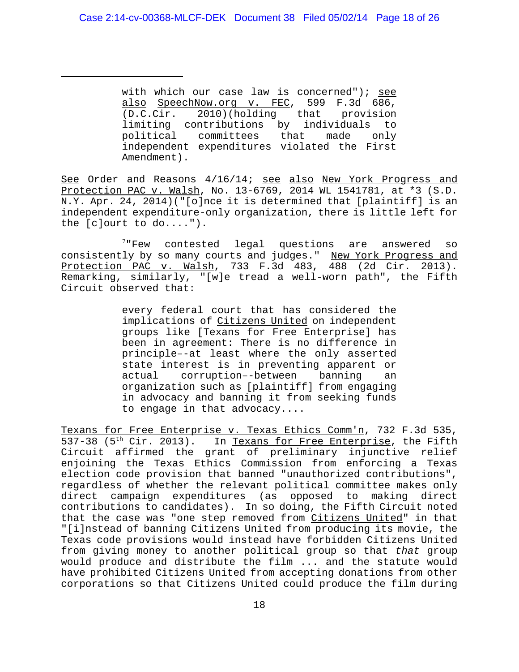with which our case law is concerned"); see also SpeechNow.org v. FEC, 599 F.3d 686, (D.C.Cir. 2010)(holding that provision limiting contributions by individuals to political committees that made only independent expenditures violated the First Amendment).

See Order and Reasons 4/16/14; see also New York Progress and Protection PAC v. Walsh, No. 13-6769, 2014 WL 1541781, at \*3 (S.D. N.Y. Apr. 24, 2014)("[o]nce it is determined that [plaintiff] is an independent expenditure-only organization, there is little left for the [c]ourt to do....").

<sup>7</sup> Few contested legal questions are answered so consistently by so many courts and judges." New York Progress and Protection PAC v. Walsh, 733 F.3d 483, 488 (2d Cir. 2013). Remarking, similarly, "[w]e tread a well-worn path", the Fifth Circuit observed that:

> every federal court that has considered the implications of Citizens United on independent groups like [Texans for Free Enterprise] has been in agreement: There is no difference in principle–-at least where the only asserted state interest is in preventing apparent or actual corruption–-between banning an organization such as [plaintiff] from engaging in advocacy and banning it from seeking funds to engage in that advocacy....

Texans for Free Enterprise v. Texas Ethics Comm'n, 732 F.3d 535, 537-38 (5<sup>th</sup> Cir. 2013). In Texans for Free Enterprise, the Fifth Circuit affirmed the grant of preliminary injunctive relief enjoining the Texas Ethics Commission from enforcing a Texas election code provision that banned "unauthorized contributions", regardless of whether the relevant political committee makes only direct campaign expenditures (as opposed to making direct contributions to candidates). In so doing, the Fifth Circuit noted that the case was "one step removed from Citizens United" in that "[i]nstead of banning Citizens United from producing its movie, the Texas code provisions would instead have forbidden Citizens United from giving money to another political group so that *that* group would produce and distribute the film ... and the statute would have prohibited Citizens United from accepting donations from other corporations so that Citizens United could produce the film during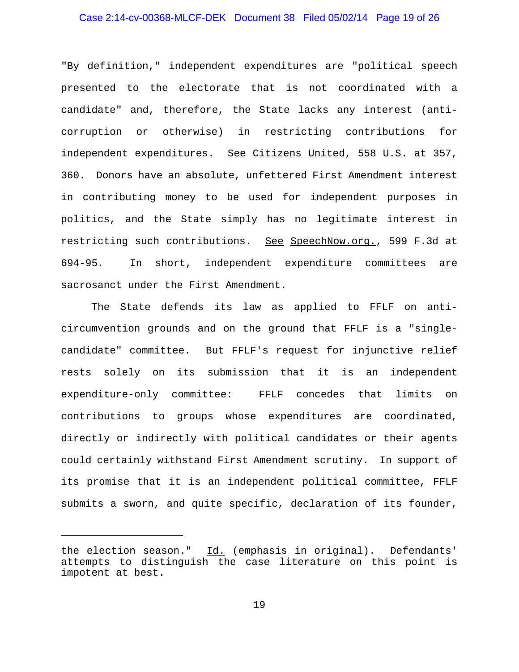# Case 2:14-cv-00368-MLCF-DEK Document 38 Filed 05/02/14 Page 19 of 26

"By definition," independent expenditures are "political speech presented to the electorate that is not coordinated with a candidate" and, therefore, the State lacks any interest (anticorruption or otherwise) in restricting contributions for independent expenditures. See Citizens United, 558 U.S. at 357, 360. Donors have an absolute, unfettered First Amendment interest in contributing money to be used for independent purposes in politics, and the State simply has no legitimate interest in restricting such contributions. See SpeechNow.org., 599 F.3d at 694-95. In short, independent expenditure committees are sacrosanct under the First Amendment.

The State defends its law as applied to FFLF on anticircumvention grounds and on the ground that FFLF is a "singlecandidate" committee. But FFLF's request for injunctive relief rests solely on its submission that it is an independent expenditure-only committee: FFLF concedes that limits on contributions to groups whose expenditures are coordinated, directly or indirectly with political candidates or their agents could certainly withstand First Amendment scrutiny. In support of its promise that it is an independent political committee, FFLF submits a sworn, and quite specific, declaration of its founder,

the election season." Id. (emphasis in original). Defendants' attempts to distinguish the case literature on this point is impotent at best.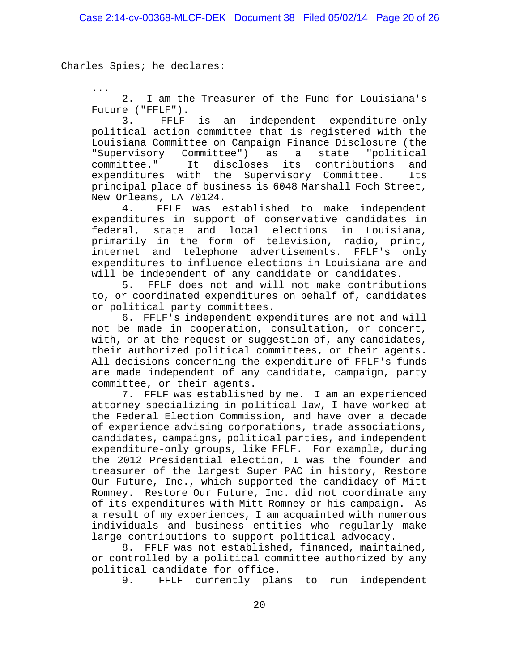Charles Spies; he declares:

... 2. I am the Treasurer of the Fund for Louisiana's Future ("FFLF").

3. FFLF is an independent expenditure-only political action committee that is registered with the Louisiana Committee on Campaign Finance Disclosure (the "Supervisory Committee") as a state "political committee." It discloses its contributions and expenditures with the Supervisory Committee. Its principal place of business is 6048 Marshall Foch Street, New Orleans, LA 70124.

4. FFLF was established to make independent expenditures in support of conservative candidates in federal, state and local elections in Louisiana, primarily in the form of television, radio, print, internet and telephone advertisements. FFLF's only expenditures to influence elections in Louisiana are and will be independent of any candidate or candidates.

5. FFLF does not and will not make contributions to, or coordinated expenditures on behalf of, candidates or political party committees.

6. FFLF's independent expenditures are not and will not be made in cooperation, consultation, or concert, with, or at the request or suggestion of, any candidates, their authorized political committees, or their agents. All decisions concerning the expenditure of FFLF's funds are made independent of any candidate, campaign, party committee, or their agents.

7. FFLF was established by me. I am an experienced attorney specializing in political law, I have worked at the Federal Election Commission, and have over a decade of experience advising corporations, trade associations, candidates, campaigns, political parties, and independent expenditure-only groups, like FFLF. For example, during the 2012 Presidential election, I was the founder and treasurer of the largest Super PAC in history, Restore Our Future, Inc., which supported the candidacy of Mitt Romney. Restore Our Future, Inc. did not coordinate any of its expenditures with Mitt Romney or his campaign. As a result of my experiences, I am acquainted with numerous individuals and business entities who regularly make large contributions to support political advocacy.

8. FFLF was not established, financed, maintained, or controlled by a political committee authorized by any political candidate for office.

9. FFLF currently plans to run independent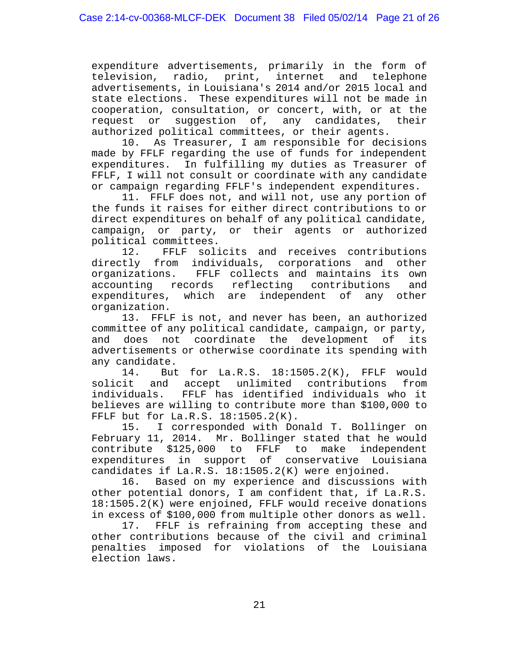expenditure advertisements, primarily in the form of television, radio, print, internet and telephone advertisements, in Louisiana's 2014 and/or 2015 local and state elections. These expenditures will not be made in cooperation, consultation, or concert, with, or at the request or suggestion of, any candidates, their authorized political committees, or their agents.

10. As Treasurer, I am responsible for decisions made by FFLF regarding the use of funds for independent expenditures. In fulfilling my duties as Treasurer of FFLF, I will not consult or coordinate with any candidate or campaign regarding FFLF's independent expenditures.

11. FFLF does not, and will not, use any portion of the funds it raises for either direct contributions to or direct expenditures on behalf of any political candidate, campaign, or party, or their agents or authorized political committees.

12. FFLF solicits and receives contributions directly from individuals, corporations and other organizations. FFLF collects and maintains its own accounting records reflecting contributions and expenditures, which are independent of any other organization.

13. FFLF is not, and never has been, an authorized committee of any political candidate, campaign, or party, and does not coordinate the development of its advertisements or otherwise coordinate its spending with any candidate.

14. But for La.R.S. 18:1505.2(K), FFLF would solicit and accept unlimited contributions from individuals. FFLF has identified individuals who it believes are willing to contribute more than \$100,000 to FFLF but for La.R.S. 18:1505.2(K).

15. I corresponded with Donald T. Bollinger on February 11, 2014. Mr. Bollinger stated that he would contribute \$125,000 to FFLF to make independent expenditures in support of conservative Louisiana candidates if La.R.S. 18:1505.2(K) were enjoined.

16. Based on my experience and discussions with other potential donors, I am confident that, if La.R.S. 18:1505.2(K) were enjoined, FFLF would receive donations in excess of \$100,000 from multiple other donors as well.

17. FFLF is refraining from accepting these and other contributions because of the civil and criminal penalties imposed for violations of the Louisiana election laws.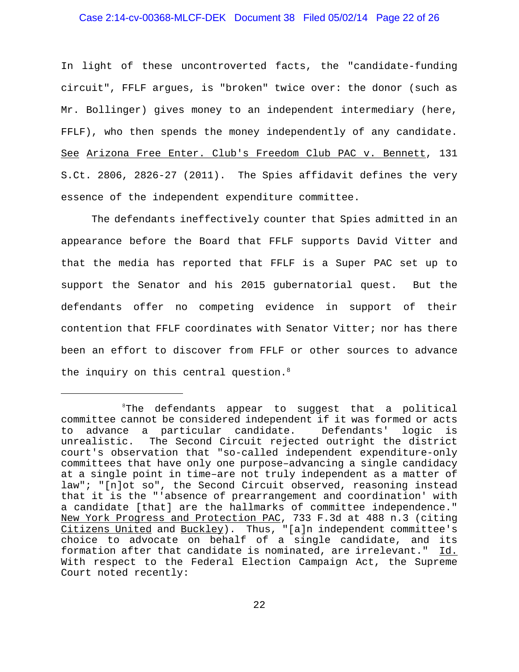### Case 2:14-cv-00368-MLCF-DEK Document 38 Filed 05/02/14 Page 22 of 26

In light of these uncontroverted facts, the "candidate-funding circuit", FFLF argues, is "broken" twice over: the donor (such as Mr. Bollinger) gives money to an independent intermediary (here, FFLF), who then spends the money independently of any candidate. See Arizona Free Enter. Club's Freedom Club PAC v. Bennett, 131 S.Ct. 2806, 2826-27 (2011). The Spies affidavit defines the very essence of the independent expenditure committee.

The defendants ineffectively counter that Spies admitted in an appearance before the Board that FFLF supports David Vitter and that the media has reported that FFLF is a Super PAC set up to support the Senator and his 2015 gubernatorial quest. But the defendants offer no competing evidence in support of their contention that FFLF coordinates with Senator Vitter; nor has there been an effort to discover from FFLF or other sources to advance the inquiry on this central question. $8$ 

<sup>&</sup>lt;sup>8</sup>The defendants appear to suggest that a political committee cannot be considered independent if it was formed or acts to advance a particular candidate. Defendants' logic is unrealistic. The Second Circuit rejected outright the district court's observation that "so-called independent expenditure-only committees that have only one purpose–advancing a single candidacy at a single point in time–are not truly independent as a matter of law"; "[n]ot so", the Second Circuit observed, reasoning instead that it is the "'absence of prearrangement and coordination' with a candidate [that] are the hallmarks of committee independence." New York Progress and Protection PAC, 733 F.3d at 488 n.3 (citing Citizens United and Buckley). Thus, "[a]n independent committee's choice to advocate on behalf of a single candidate, and its formation after that candidate is nominated, are irrelevant." Id. With respect to the Federal Election Campaign Act, the Supreme Court noted recently: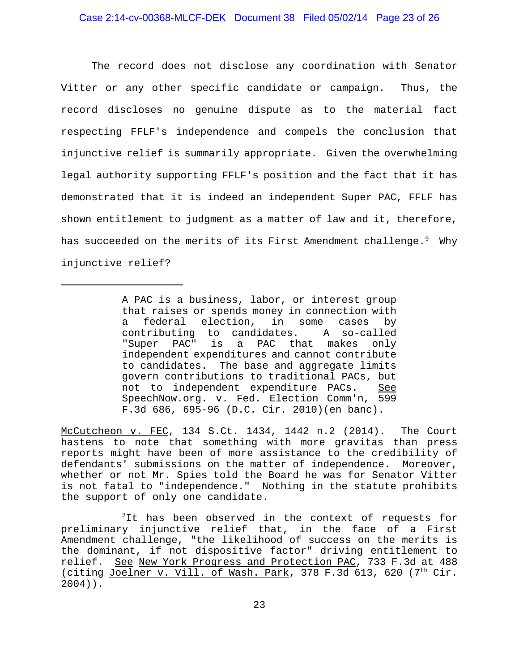The record does not disclose any coordination with Senator Vitter or any other specific candidate or campaign. Thus, the record discloses no genuine dispute as to the material fact respecting FFLF's independence and compels the conclusion that injunctive relief is summarily appropriate. Given the overwhelming legal authority supporting FFLF's position and the fact that it has demonstrated that it is indeed an independent Super PAC, FFLF has shown entitlement to judgment as a matter of law and it, therefore, has succeeded on the merits of its First Amendment challenge. $^9$  Why injunctive relief?

McCutcheon v. FEC, 134 S.Ct. 1434, 1442 n.2 (2014). The Court hastens to note that something with more gravitas than press reports might have been of more assistance to the credibility of defendants' submissions on the matter of independence. Moreover, whether or not Mr. Spies told the Board he was for Senator Vitter is not fatal to "independence." Nothing in the statute prohibits the support of only one candidate.

<sup>9</sup>It has been observed in the context of requests for preliminary injunctive relief that, in the face of a First Amendment challenge, "the likelihood of success on the merits is the dominant, if not dispositive factor" driving entitlement to relief. See New York Progress and Protection PAC, 733 F.3d at 488 (citing Joelner v. Vill. of Wash. Park, 378 F.3d 613, 620 (7th Cir. 2004)).

A PAC is a business, labor, or interest group that raises or spends money in connection with a federal election, in some cases by contributing to candidates. A so-called "Super PAC" is a PAC that makes only independent expenditures and cannot contribute to candidates. The base and aggregate limits govern contributions to traditional PACs, but not to independent expenditure PACs. See SpeechNow.org. v. Fed. Election Comm'n, 599 F.3d 686, 695-96 (D.C. Cir. 2010)(en banc).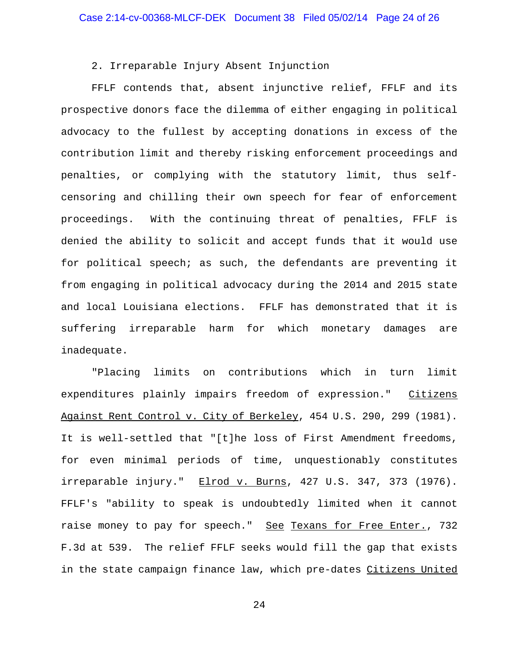# 2. Irreparable Injury Absent Injunction

FFLF contends that, absent injunctive relief, FFLF and its prospective donors face the dilemma of either engaging in political advocacy to the fullest by accepting donations in excess of the contribution limit and thereby risking enforcement proceedings and penalties, or complying with the statutory limit, thus selfcensoring and chilling their own speech for fear of enforcement proceedings. With the continuing threat of penalties, FFLF is denied the ability to solicit and accept funds that it would use for political speech; as such, the defendants are preventing it from engaging in political advocacy during the 2014 and 2015 state and local Louisiana elections. FFLF has demonstrated that it is suffering irreparable harm for which monetary damages are inadequate.

"Placing limits on contributions which in turn limit expenditures plainly impairs freedom of expression." Citizens Against Rent Control v. City of Berkeley, 454 U.S. 290, 299 (1981). It is well-settled that "[t]he loss of First Amendment freedoms, for even minimal periods of time, unquestionably constitutes irreparable injury." Elrod v. Burns, 427 U.S. 347, 373 (1976). FFLF's "ability to speak is undoubtedly limited when it cannot raise money to pay for speech." See Texans for Free Enter., 732 F.3d at 539. The relief FFLF seeks would fill the gap that exists in the state campaign finance law, which pre-dates Citizens United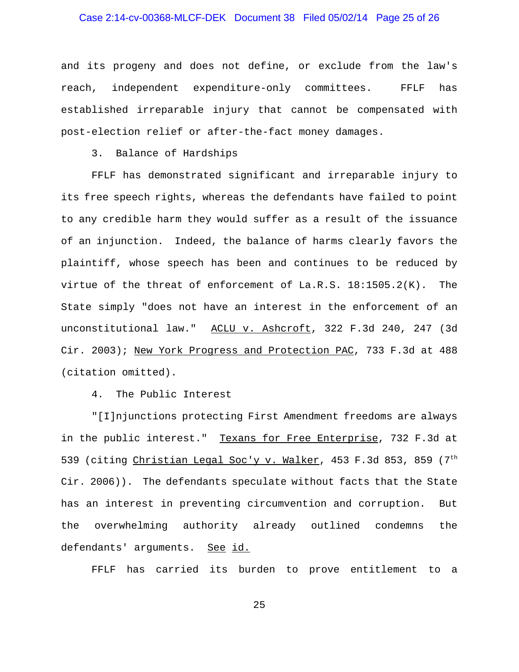# Case 2:14-cv-00368-MLCF-DEK Document 38 Filed 05/02/14 Page 25 of 26

and its progeny and does not define, or exclude from the law's reach, independent expenditure-only committees. FFLF has established irreparable injury that cannot be compensated with post-election relief or after-the-fact money damages.

3. Balance of Hardships

FFLF has demonstrated significant and irreparable injury to its free speech rights, whereas the defendants have failed to point to any credible harm they would suffer as a result of the issuance of an injunction. Indeed, the balance of harms clearly favors the plaintiff, whose speech has been and continues to be reduced by virtue of the threat of enforcement of La.R.S. 18:1505.2(K). The State simply "does not have an interest in the enforcement of an unconstitutional law." ACLU v. Ashcroft, 322 F.3d 240, 247 (3d Cir. 2003); New York Progress and Protection PAC, 733 F.3d at 488 (citation omitted).

4. The Public Interest

"[I]njunctions protecting First Amendment freedoms are always in the public interest." Texans for Free Enterprise, 732 F.3d at 539 (citing Christian Legal Soc'y v. Walker, 453 F.3d 853, 859 (7<sup>th</sup> Cir. 2006)). The defendants speculate without facts that the State has an interest in preventing circumvention and corruption. But the overwhelming authority already outlined condemns the defendants' arguments. See id.

FFLF has carried its burden to prove entitlement to a